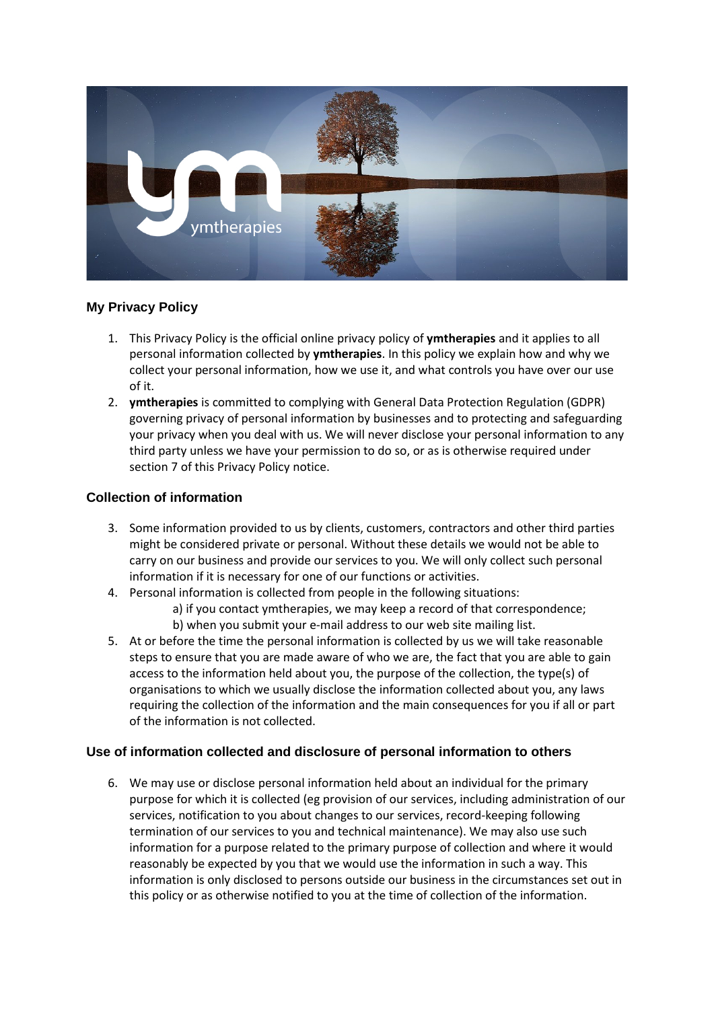

# **My Privacy Policy**

- 1. This Privacy Policy is the official online privacy policy of **ymtherapies** and it applies to all personal information collected by **ymtherapies**. In this policy we explain how and why we collect your personal information, how we use it, and what controls you have over our use of it.
- 2. **ymtherapies** is committed to complying with General Data Protection Regulation (GDPR) governing privacy of personal information by businesses and to protecting and safeguarding your privacy when you deal with us. We will never disclose your personal information to any third party unless we have your permission to do so, or as is otherwise required under section 7 of this Privacy Policy notice.

# **Collection of information**

- 3. Some information provided to us by clients, customers, contractors and other third parties might be considered private or personal. Without these details we would not be able to carry on our business and provide our services to you. We will only collect such personal information if it is necessary for one of our functions or activities.
- 4. Personal information is collected from people in the following situations:
	- a) if you contact ymtherapies, we may keep a record of that correspondence;
	- b) when you submit your e-mail address to our web site mailing list.
- 5. At or before the time the personal information is collected by us we will take reasonable steps to ensure that you are made aware of who we are, the fact that you are able to gain access to the information held about you, the purpose of the collection, the type(s) of organisations to which we usually disclose the information collected about you, any laws requiring the collection of the information and the main consequences for you if all or part of the information is not collected.

# **Use of information collected and disclosure of personal information to others**

6. We may use or disclose personal information held about an individual for the primary purpose for which it is collected (eg provision of our services, including administration of our services, notification to you about changes to our services, record-keeping following termination of our services to you and technical maintenance). We may also use such information for a purpose related to the primary purpose of collection and where it would reasonably be expected by you that we would use the information in such a way. This information is only disclosed to persons outside our business in the circumstances set out in this policy or as otherwise notified to you at the time of collection of the information.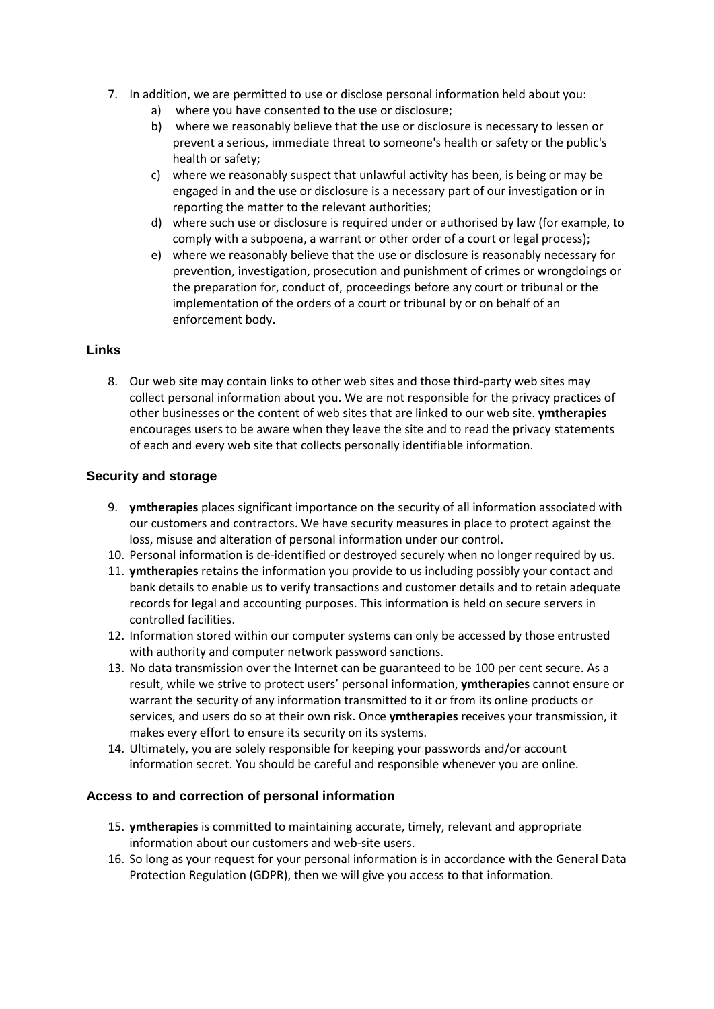- 7. In addition, we are permitted to use or disclose personal information held about you:
	- a) where you have consented to the use or disclosure;
	- b) where we reasonably believe that the use or disclosure is necessary to lessen or prevent a serious, immediate threat to someone's health or safety or the public's health or safety;
	- c) where we reasonably suspect that unlawful activity has been, is being or may be engaged in and the use or disclosure is a necessary part of our investigation or in reporting the matter to the relevant authorities;
	- d) where such use or disclosure is required under or authorised by law (for example, to comply with a subpoena, a warrant or other order of a court or legal process);
	- e) where we reasonably believe that the use or disclosure is reasonably necessary for prevention, investigation, prosecution and punishment of crimes or wrongdoings or the preparation for, conduct of, proceedings before any court or tribunal or the implementation of the orders of a court or tribunal by or on behalf of an enforcement body.

# **Links**

8. Our web site may contain links to other web sites and those third-party web sites may collect personal information about you. We are not responsible for the privacy practices of other businesses or the content of web sites that are linked to our web site. **ymtherapies** encourages users to be aware when they leave the site and to read the privacy statements of each and every web site that collects personally identifiable information.

# **Security and storage**

- 9. **ymtherapies** places significant importance on the security of all information associated with our customers and contractors. We have security measures in place to protect against the loss, misuse and alteration of personal information under our control.
- 10. Personal information is de-identified or destroyed securely when no longer required by us.
- 11. **ymtherapies** retains the information you provide to us including possibly your contact and bank details to enable us to verify transactions and customer details and to retain adequate records for legal and accounting purposes. This information is held on secure servers in controlled facilities.
- 12. Information stored within our computer systems can only be accessed by those entrusted with authority and computer network password sanctions.
- 13. No data transmission over the Internet can be guaranteed to be 100 per cent secure. As a result, while we strive to protect users' personal information, **ymtherapies** cannot ensure or warrant the security of any information transmitted to it or from its online products or services, and users do so at their own risk. Once **ymtherapies** receives your transmission, it makes every effort to ensure its security on its systems.
- 14. Ultimately, you are solely responsible for keeping your passwords and/or account information secret. You should be careful and responsible whenever you are online.

# **Access to and correction of personal information**

- 15. **ymtherapies** is committed to maintaining accurate, timely, relevant and appropriate information about our customers and web-site users.
- 16. So long as your request for your personal information is in accordance with the General Data Protection Regulation (GDPR), then we will give you access to that information.